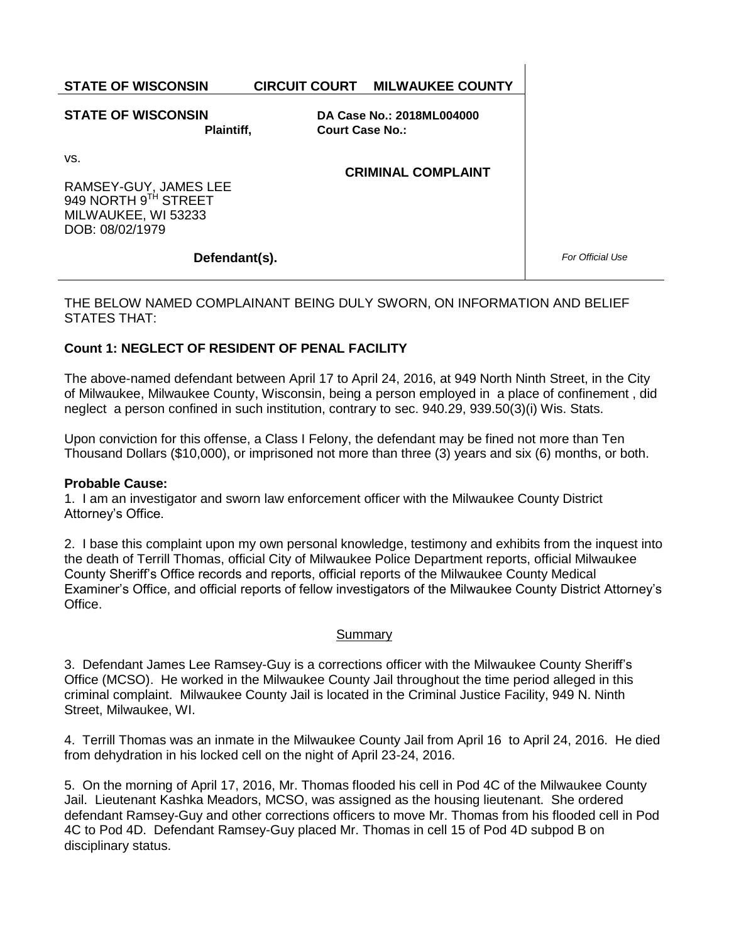**STATE OF WISCONSIN CIRCUIT COURT MILWAUKEE COUNTY**

**STATE OF WISCONSIN Plaintiff,** **DA Case No.: 2018ML004000 Court Case No.:** 

**CRIMINAL COMPLAINT**

vs.

RAMSEY-GUY, JAMES LEE 949 NORTH 9TH STREET MILWAUKEE, WI 53233 DOB: 08/02/1979

## **Defendant(s).**

*For Official Use*

## THE BELOW NAMED COMPLAINANT BEING DULY SWORN, ON INFORMATION AND BELIEF STATES THAT:

## **Count 1: NEGLECT OF RESIDENT OF PENAL FACILITY**

The above-named defendant between April 17 to April 24, 2016, at 949 North Ninth Street, in the City of Milwaukee, Milwaukee County, Wisconsin, being a person employed in a place of confinement , did neglect a person confined in such institution, contrary to sec. 940.29, 939.50(3)(i) Wis. Stats.

Upon conviction for this offense, a Class I Felony, the defendant may be fined not more than Ten Thousand Dollars (\$10,000), or imprisoned not more than three (3) years and six (6) months, or both.

## **Probable Cause:**

1. I am an investigator and sworn law enforcement officer with the Milwaukee County District Attorney's Office.

2. I base this complaint upon my own personal knowledge, testimony and exhibits from the inquest into the death of Terrill Thomas, official City of Milwaukee Police Department reports, official Milwaukee County Sheriff's Office records and reports, official reports of the Milwaukee County Medical Examiner's Office, and official reports of fellow investigators of the Milwaukee County District Attorney's Office.

## Summary

3. Defendant James Lee Ramsey-Guy is a corrections officer with the Milwaukee County Sheriff's Office (MCSO). He worked in the Milwaukee County Jail throughout the time period alleged in this criminal complaint. Milwaukee County Jail is located in the Criminal Justice Facility, 949 N. Ninth Street, Milwaukee, WI.

4. Terrill Thomas was an inmate in the Milwaukee County Jail from April 16 to April 24, 2016. He died from dehydration in his locked cell on the night of April 23-24, 2016.

5. On the morning of April 17, 2016, Mr. Thomas flooded his cell in Pod 4C of the Milwaukee County Jail. Lieutenant Kashka Meadors, MCSO, was assigned as the housing lieutenant. She ordered defendant Ramsey-Guy and other corrections officers to move Mr. Thomas from his flooded cell in Pod 4C to Pod 4D. Defendant Ramsey-Guy placed Mr. Thomas in cell 15 of Pod 4D subpod B on disciplinary status.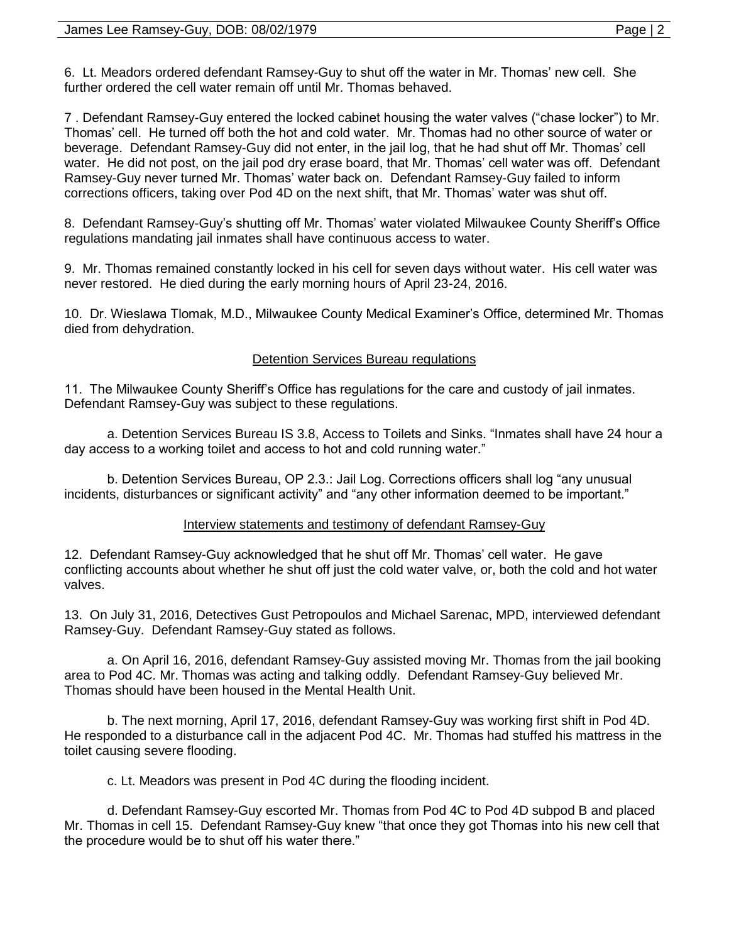6. Lt. Meadors ordered defendant Ramsey-Guy to shut off the water in Mr. Thomas' new cell. She further ordered the cell water remain off until Mr. Thomas behaved.

7 . Defendant Ramsey-Guy entered the locked cabinet housing the water valves ("chase locker") to Mr. Thomas' cell. He turned off both the hot and cold water. Mr. Thomas had no other source of water or beverage. Defendant Ramsey-Guy did not enter, in the jail log, that he had shut off Mr. Thomas' cell water. He did not post, on the jail pod dry erase board, that Mr. Thomas' cell water was off. Defendant Ramsey-Guy never turned Mr. Thomas' water back on. Defendant Ramsey-Guy failed to inform corrections officers, taking over Pod 4D on the next shift, that Mr. Thomas' water was shut off.

8. Defendant Ramsey-Guy's shutting off Mr. Thomas' water violated Milwaukee County Sheriff's Office regulations mandating jail inmates shall have continuous access to water.

9. Mr. Thomas remained constantly locked in his cell for seven days without water. His cell water was never restored. He died during the early morning hours of April 23-24, 2016.

10. Dr. Wieslawa Tlomak, M.D., Milwaukee County Medical Examiner's Office, determined Mr. Thomas died from dehydration.

## Detention Services Bureau regulations

11. The Milwaukee County Sheriff's Office has regulations for the care and custody of jail inmates. Defendant Ramsey-Guy was subject to these regulations.

a. Detention Services Bureau IS 3.8, Access to Toilets and Sinks. "Inmates shall have 24 hour a day access to a working toilet and access to hot and cold running water."

b. Detention Services Bureau, OP 2.3.: Jail Log. Corrections officers shall log "any unusual incidents, disturbances or significant activity" and "any other information deemed to be important."

## Interview statements and testimony of defendant Ramsey-Guy

12. Defendant Ramsey-Guy acknowledged that he shut off Mr. Thomas' cell water. He gave conflicting accounts about whether he shut off just the cold water valve, or, both the cold and hot water valves.

13. On July 31, 2016, Detectives Gust Petropoulos and Michael Sarenac, MPD, interviewed defendant Ramsey-Guy. Defendant Ramsey-Guy stated as follows.

a. On April 16, 2016, defendant Ramsey-Guy assisted moving Mr. Thomas from the jail booking area to Pod 4C. Mr. Thomas was acting and talking oddly. Defendant Ramsey-Guy believed Mr. Thomas should have been housed in the Mental Health Unit.

b. The next morning, April 17, 2016, defendant Ramsey-Guy was working first shift in Pod 4D. He responded to a disturbance call in the adjacent Pod 4C. Mr. Thomas had stuffed his mattress in the toilet causing severe flooding.

c. Lt. Meadors was present in Pod 4C during the flooding incident.

d. Defendant Ramsey-Guy escorted Mr. Thomas from Pod 4C to Pod 4D subpod B and placed Mr. Thomas in cell 15. Defendant Ramsey-Guy knew "that once they got Thomas into his new cell that the procedure would be to shut off his water there."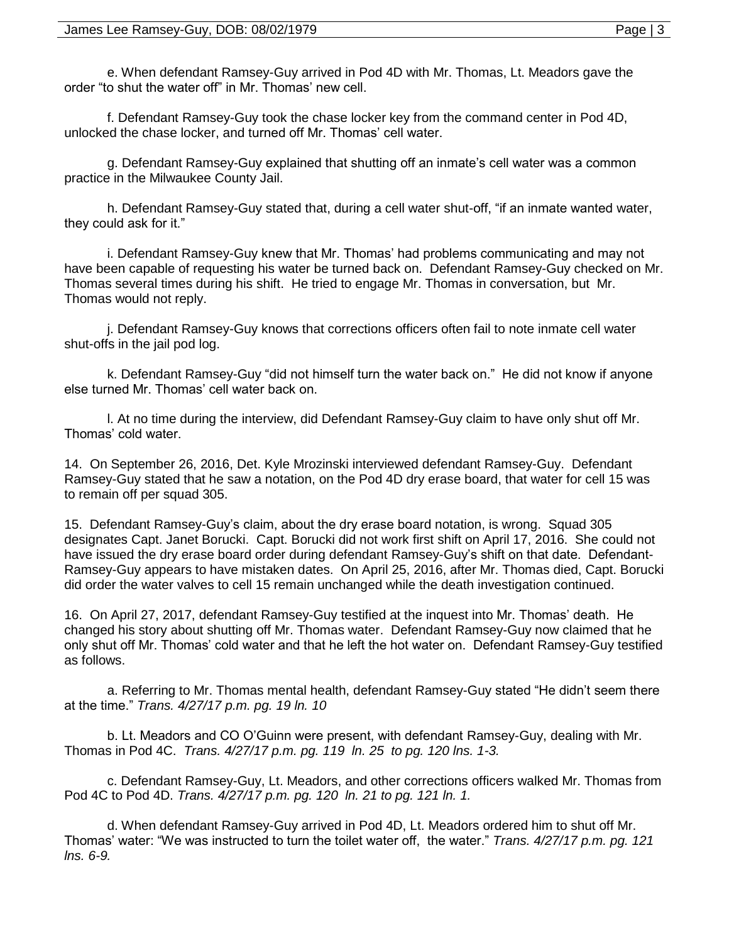e. When defendant Ramsey-Guy arrived in Pod 4D with Mr. Thomas, Lt. Meadors gave the order "to shut the water off" in Mr. Thomas' new cell.

f. Defendant Ramsey-Guy took the chase locker key from the command center in Pod 4D, unlocked the chase locker, and turned off Mr. Thomas' cell water.

g. Defendant Ramsey-Guy explained that shutting off an inmate's cell water was a common practice in the Milwaukee County Jail.

h. Defendant Ramsey-Guy stated that, during a cell water shut-off, "if an inmate wanted water, they could ask for it."

i. Defendant Ramsey-Guy knew that Mr. Thomas' had problems communicating and may not have been capable of requesting his water be turned back on. Defendant Ramsey-Guy checked on Mr. Thomas several times during his shift. He tried to engage Mr. Thomas in conversation, but Mr. Thomas would not reply.

j. Defendant Ramsey-Guy knows that corrections officers often fail to note inmate cell water shut-offs in the jail pod log.

k. Defendant Ramsey-Guy "did not himself turn the water back on." He did not know if anyone else turned Mr. Thomas' cell water back on.

l. At no time during the interview, did Defendant Ramsey-Guy claim to have only shut off Mr. Thomas' cold water.

14. On September 26, 2016, Det. Kyle Mrozinski interviewed defendant Ramsey-Guy. Defendant Ramsey-Guy stated that he saw a notation, on the Pod 4D dry erase board, that water for cell 15 was to remain off per squad 305.

15. Defendant Ramsey-Guy's claim, about the dry erase board notation, is wrong. Squad 305 designates Capt. Janet Borucki. Capt. Borucki did not work first shift on April 17, 2016. She could not have issued the dry erase board order during defendant Ramsey-Guy's shift on that date. Defendant-Ramsey-Guy appears to have mistaken dates. On April 25, 2016, after Mr. Thomas died, Capt. Borucki did order the water valves to cell 15 remain unchanged while the death investigation continued.

16. On April 27, 2017, defendant Ramsey-Guy testified at the inquest into Mr. Thomas' death. He changed his story about shutting off Mr. Thomas water. Defendant Ramsey-Guy now claimed that he only shut off Mr. Thomas' cold water and that he left the hot water on. Defendant Ramsey-Guy testified as follows.

a. Referring to Mr. Thomas mental health, defendant Ramsey-Guy stated "He didn't seem there at the time." *Trans. 4/27/17 p.m. pg. 19 ln. 10*

b. Lt. Meadors and CO O'Guinn were present, with defendant Ramsey-Guy, dealing with Mr. Thomas in Pod 4C. *Trans. 4/27/17 p.m. pg. 119 ln. 25 to pg. 120 lns. 1-3.*

c. Defendant Ramsey-Guy, Lt. Meadors, and other corrections officers walked Mr. Thomas from Pod 4C to Pod 4D. *Trans. 4/27/17 p.m. pg. 120 ln. 21 to pg. 121 ln. 1.*

d. When defendant Ramsey-Guy arrived in Pod 4D, Lt. Meadors ordered him to shut off Mr. Thomas' water: "We was instructed to turn the toilet water off, the water." *Trans. 4/27/17 p.m. pg. 121 lns. 6-9.*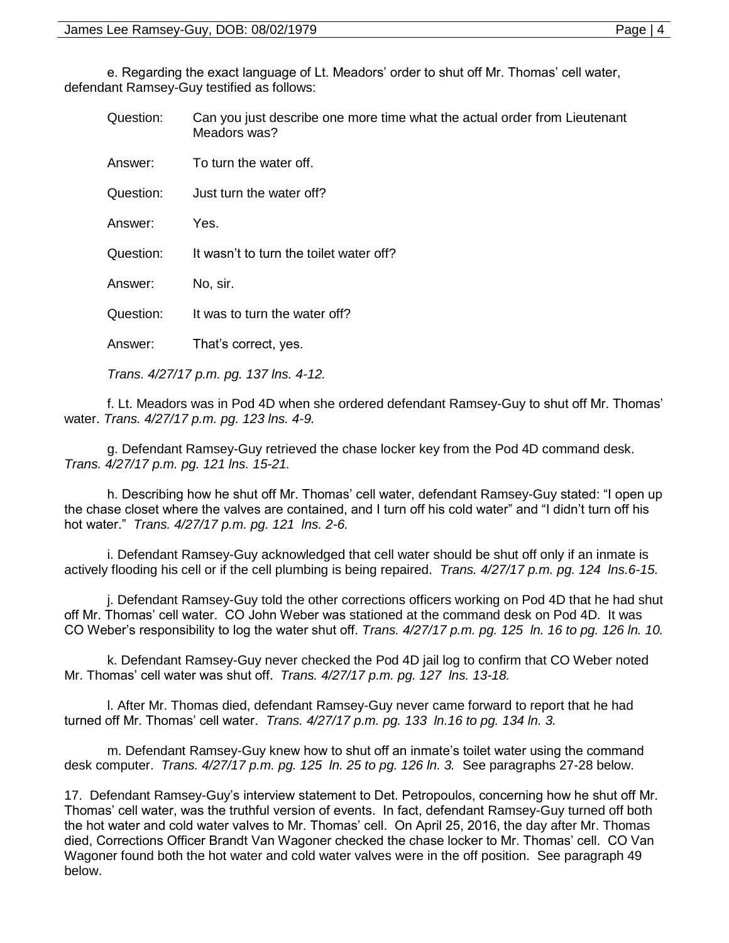e. Regarding the exact language of Lt. Meadors' order to shut off Mr. Thomas' cell water, defendant Ramsey-Guy testified as follows:

| Question: | Can you just describe one more time what the actual order from Lieutenant<br>Meadors was? |
|-----------|-------------------------------------------------------------------------------------------|
| Answer:   | To turn the water off.                                                                    |
| Question: | Just turn the water off?                                                                  |
| Answer:   | Yes.                                                                                      |
| Question: | It wasn't to turn the toilet water off?                                                   |
| Answer:   | No, sir.                                                                                  |
| Question: | It was to turn the water off?                                                             |
| Answer:   | That's correct, yes.                                                                      |

*Trans. 4/27/17 p.m. pg. 137 lns. 4-12.*

f. Lt. Meadors was in Pod 4D when she ordered defendant Ramsey-Guy to shut off Mr. Thomas' water. *Trans. 4/27/17 p.m. pg. 123 lns. 4-9.*

g. Defendant Ramsey-Guy retrieved the chase locker key from the Pod 4D command desk. *Trans. 4/27/17 p.m. pg. 121 lns. 15-21.*

h. Describing how he shut off Mr. Thomas' cell water, defendant Ramsey-Guy stated: "I open up the chase closet where the valves are contained, and I turn off his cold water" and "I didn't turn off his hot water." *Trans. 4/27/17 p.m. pg. 121 lns. 2-6.* 

i. Defendant Ramsey-Guy acknowledged that cell water should be shut off only if an inmate is actively flooding his cell or if the cell plumbing is being repaired. *Trans. 4/27/17 p.m. pg. 124 lns.6-15.* 

j. Defendant Ramsey-Guy told the other corrections officers working on Pod 4D that he had shut off Mr. Thomas' cell water. CO John Weber was stationed at the command desk on Pod 4D. It was CO Weber's responsibility to log the water shut off. *Trans. 4/27/17 p.m. pg. 125 ln. 16 to pg. 126 ln. 10.* 

k. Defendant Ramsey-Guy never checked the Pod 4D jail log to confirm that CO Weber noted Mr. Thomas' cell water was shut off. *Trans. 4/27/17 p.m. pg. 127 lns. 13-18.* 

l. After Mr. Thomas died, defendant Ramsey-Guy never came forward to report that he had turned off Mr. Thomas' cell water. *Trans. 4/27/17 p.m. pg. 133 ln.16 to pg. 134 ln. 3.*

m. Defendant Ramsey-Guy knew how to shut off an inmate's toilet water using the command desk computer. *Trans. 4/27/17 p.m. pg. 125 ln. 25 to pg. 126 ln. 3.* See paragraphs 27-28 below.

17. Defendant Ramsey-Guy's interview statement to Det. Petropoulos, concerning how he shut off Mr. Thomas' cell water, was the truthful version of events. In fact, defendant Ramsey-Guy turned off both the hot water and cold water valves to Mr. Thomas' cell. On April 25, 2016, the day after Mr. Thomas died, Corrections Officer Brandt Van Wagoner checked the chase locker to Mr. Thomas' cell. CO Van Wagoner found both the hot water and cold water valves were in the off position. See paragraph 49 below.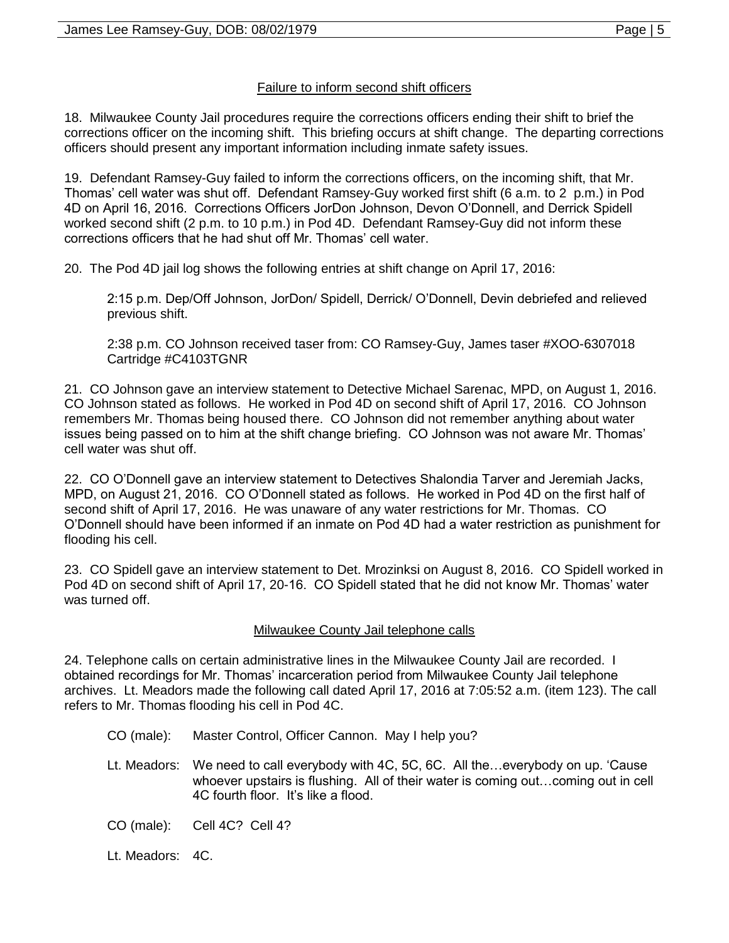## Failure to inform second shift officers

18. Milwaukee County Jail procedures require the corrections officers ending their shift to brief the corrections officer on the incoming shift. This briefing occurs at shift change. The departing corrections officers should present any important information including inmate safety issues.

19. Defendant Ramsey-Guy failed to inform the corrections officers, on the incoming shift, that Mr. Thomas' cell water was shut off. Defendant Ramsey-Guy worked first shift (6 a.m. to 2 p.m.) in Pod 4D on April 16, 2016. Corrections Officers JorDon Johnson, Devon O'Donnell, and Derrick Spidell worked second shift (2 p.m. to 10 p.m.) in Pod 4D. Defendant Ramsey-Guy did not inform these corrections officers that he had shut off Mr. Thomas' cell water.

20. The Pod 4D jail log shows the following entries at shift change on April 17, 2016:

2:15 p.m. Dep/Off Johnson, JorDon/ Spidell, Derrick/ O'Donnell, Devin debriefed and relieved previous shift.

2:38 p.m. CO Johnson received taser from: CO Ramsey-Guy, James taser #XOO-6307018 Cartridge #C4103TGNR

21. CO Johnson gave an interview statement to Detective Michael Sarenac, MPD, on August 1, 2016. CO Johnson stated as follows. He worked in Pod 4D on second shift of April 17, 2016. CO Johnson remembers Mr. Thomas being housed there. CO Johnson did not remember anything about water issues being passed on to him at the shift change briefing. CO Johnson was not aware Mr. Thomas' cell water was shut off.

22. CO O'Donnell gave an interview statement to Detectives Shalondia Tarver and Jeremiah Jacks, MPD, on August 21, 2016. CO O'Donnell stated as follows. He worked in Pod 4D on the first half of second shift of April 17, 2016. He was unaware of any water restrictions for Mr. Thomas. CO O'Donnell should have been informed if an inmate on Pod 4D had a water restriction as punishment for flooding his cell.

23. CO Spidell gave an interview statement to Det. Mrozinksi on August 8, 2016. CO Spidell worked in Pod 4D on second shift of April 17, 20-16. CO Spidell stated that he did not know Mr. Thomas' water was turned off.

## Milwaukee County Jail telephone calls

24. Telephone calls on certain administrative lines in the Milwaukee County Jail are recorded. I obtained recordings for Mr. Thomas' incarceration period from Milwaukee County Jail telephone archives. Lt. Meadors made the following call dated April 17, 2016 at 7:05:52 a.m. (item 123). The call refers to Mr. Thomas flooding his cell in Pod 4C.

- CO (male): Master Control, Officer Cannon. May I help you?
- Lt. Meadors: We need to call everybody with 4C, 5C, 6C. All the…everybody on up. 'Cause whoever upstairs is flushing. All of their water is coming out…coming out in cell 4C fourth floor. It's like a flood.

CO (male): Cell 4C? Cell 4?

Lt. Meadors: 4C.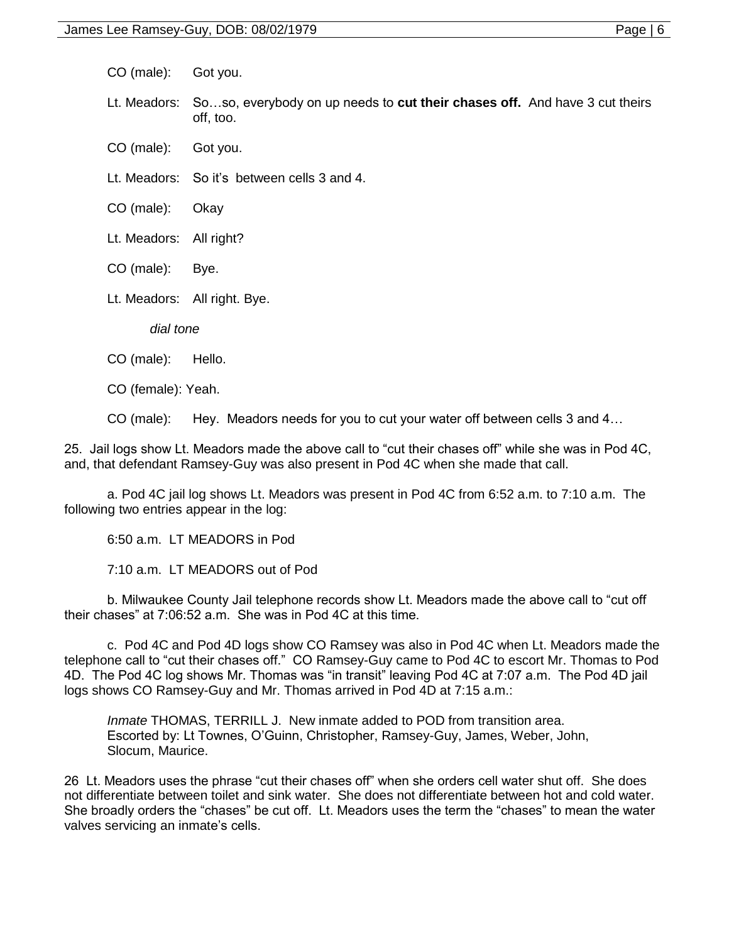CO (male): Got you.

Lt. Meadors: So…so, everybody on up needs to **cut their chases off.** And have 3 cut theirs off, too.

CO (male): Got you.

Lt. Meadors: So it's between cells 3 and 4.

CO (male): Okay

Lt. Meadors: All right?

CO (male): Bye.

Lt. Meadors: All right. Bye.

*dial tone*

CO (male): Hello.

CO (female): Yeah.

CO (male): Hey. Meadors needs for you to cut your water off between cells 3 and 4…

25. Jail logs show Lt. Meadors made the above call to "cut their chases off" while she was in Pod 4C, and, that defendant Ramsey-Guy was also present in Pod 4C when she made that call.

a. Pod 4C jail log shows Lt. Meadors was present in Pod 4C from 6:52 a.m. to 7:10 a.m. The following two entries appear in the log:

6:50 a.m. LT MEADORS in Pod

7:10 a.m. LT MEADORS out of Pod

b. Milwaukee County Jail telephone records show Lt. Meadors made the above call to "cut off their chases" at 7:06:52 a.m. She was in Pod 4C at this time.

c. Pod 4C and Pod 4D logs show CO Ramsey was also in Pod 4C when Lt. Meadors made the telephone call to "cut their chases off." CO Ramsey-Guy came to Pod 4C to escort Mr. Thomas to Pod 4D. The Pod 4C log shows Mr. Thomas was "in transit" leaving Pod 4C at 7:07 a.m. The Pod 4D jail logs shows CO Ramsey-Guy and Mr. Thomas arrived in Pod 4D at 7:15 a.m.:

*Inmate* THOMAS, TERRILL J. New inmate added to POD from transition area. Escorted by: Lt Townes, O'Guinn, Christopher, Ramsey-Guy, James, Weber, John, Slocum, Maurice.

26 Lt. Meadors uses the phrase "cut their chases off" when she orders cell water shut off. She does not differentiate between toilet and sink water. She does not differentiate between hot and cold water. She broadly orders the "chases" be cut off. Lt. Meadors uses the term the "chases" to mean the water valves servicing an inmate's cells.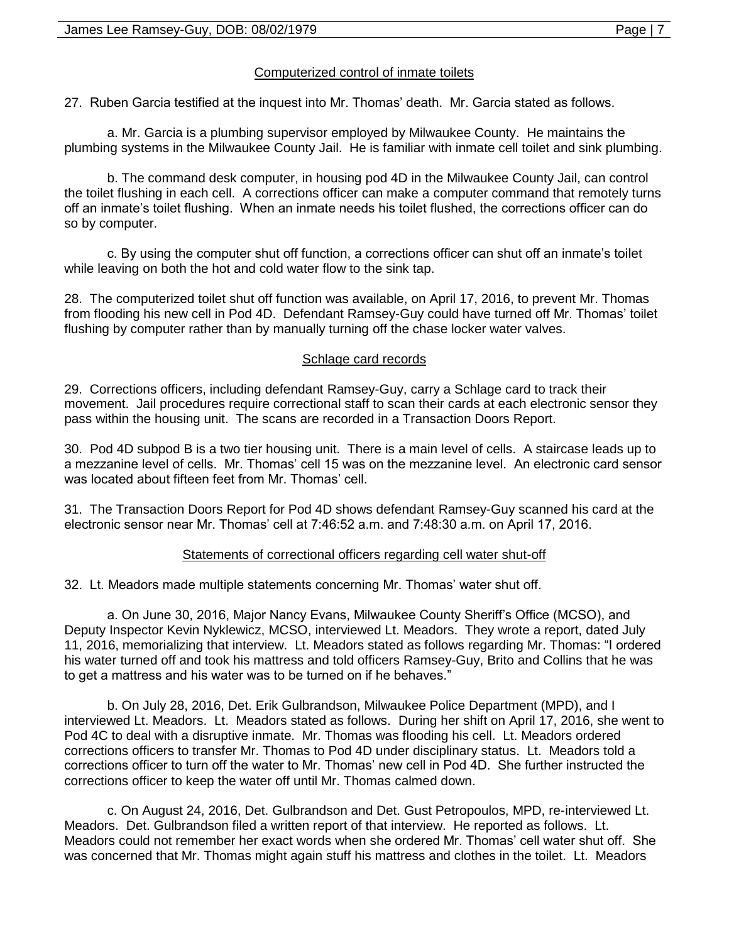## Computerized control of inmate toilets

27. Ruben Garcia testified at the inquest into Mr. Thomas' death. Mr. Garcia stated as follows.

a. Mr. Garcia is a plumbing supervisor employed by Milwaukee County. He maintains the plumbing systems in the Milwaukee County Jail. He is familiar with inmate cell toilet and sink plumbing.

b. The command desk computer, in housing pod 4D in the Milwaukee County Jail, can control the toilet flushing in each cell. A corrections officer can make a computer command that remotely turns off an inmate's toilet flushing. When an inmate needs his toilet flushed, the corrections officer can do so by computer.

c. By using the computer shut off function, a corrections officer can shut off an inmate's toilet while leaving on both the hot and cold water flow to the sink tap.

28. The computerized toilet shut off function was available, on April 17, 2016, to prevent Mr. Thomas from flooding his new cell in Pod 4D. Defendant Ramsey-Guy could have turned off Mr. Thomas' toilet flushing by computer rather than by manually turning off the chase locker water valves.

## Schlage card records

29. Corrections officers, including defendant Ramsey-Guy, carry a Schlage card to track their movement. Jail procedures require correctional staff to scan their cards at each electronic sensor they pass within the housing unit. The scans are recorded in a Transaction Doors Report.

30. Pod 4D subpod B is a two tier housing unit. There is a main level of cells. A staircase leads up to a mezzanine level of cells. Mr. Thomas' cell 15 was on the mezzanine level. An electronic card sensor was located about fifteen feet from Mr. Thomas' cell.

31. The Transaction Doors Report for Pod 4D shows defendant Ramsey-Guy scanned his card at the electronic sensor near Mr. Thomas' cell at 7:46:52 a.m. and 7:48:30 a.m. on April 17, 2016.

## Statements of correctional officers regarding cell water shut-off

32. Lt. Meadors made multiple statements concerning Mr. Thomas' water shut off.

a. On June 30, 2016, Major Nancy Evans, Milwaukee County Sheriff's Office (MCSO), and Deputy Inspector Kevin Nyklewicz, MCSO, interviewed Lt. Meadors. They wrote a report, dated July 11, 2016, memorializing that interview. Lt. Meadors stated as follows regarding Mr. Thomas: "I ordered his water turned off and took his mattress and told officers Ramsey-Guy, Brito and Collins that he was to get a mattress and his water was to be turned on if he behaves."

b. On July 28, 2016, Det. Erik Gulbrandson, Milwaukee Police Department (MPD), and I interviewed Lt. Meadors. Lt. Meadors stated as follows. During her shift on April 17, 2016, she went to Pod 4C to deal with a disruptive inmate. Mr. Thomas was flooding his cell. Lt. Meadors ordered corrections officers to transfer Mr. Thomas to Pod 4D under disciplinary status. Lt. Meadors told a corrections officer to turn off the water to Mr. Thomas' new cell in Pod 4D. She further instructed the corrections officer to keep the water off until Mr. Thomas calmed down.

c. On August 24, 2016, Det. Gulbrandson and Det. Gust Petropoulos, MPD, re-interviewed Lt. Meadors. Det. Gulbrandson filed a written report of that interview. He reported as follows. Lt. Meadors could not remember her exact words when she ordered Mr. Thomas' cell water shut off. She was concerned that Mr. Thomas might again stuff his mattress and clothes in the toilet. Lt. Meadors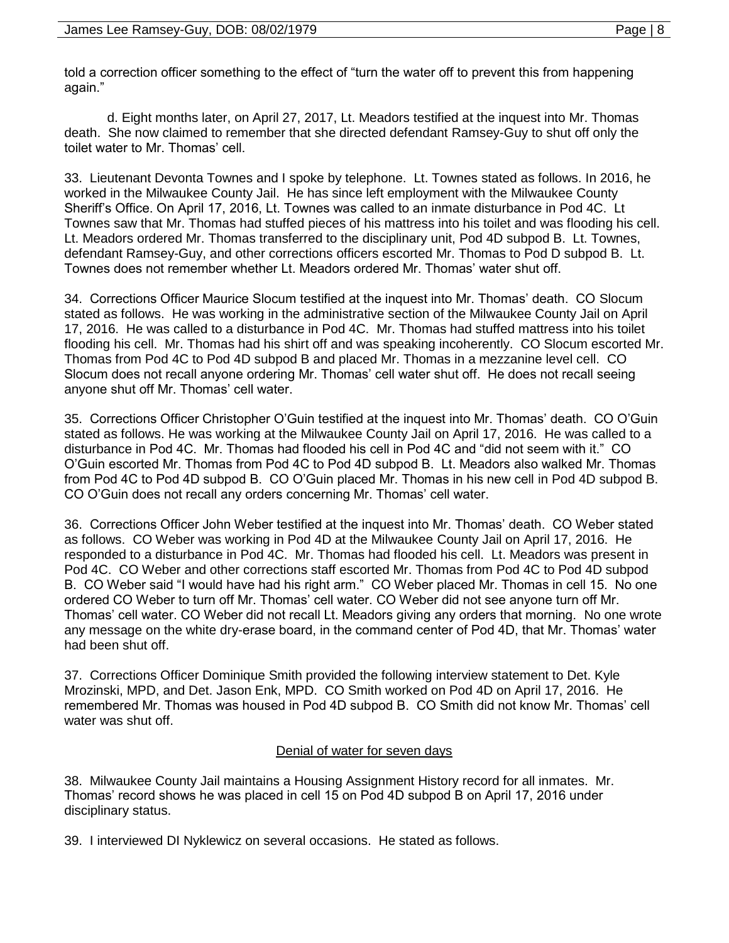told a correction officer something to the effect of "turn the water off to prevent this from happening again."

d. Eight months later, on April 27, 2017, Lt. Meadors testified at the inquest into Mr. Thomas death. She now claimed to remember that she directed defendant Ramsey-Guy to shut off only the toilet water to Mr. Thomas' cell.

33. Lieutenant Devonta Townes and I spoke by telephone. Lt. Townes stated as follows. In 2016, he worked in the Milwaukee County Jail. He has since left employment with the Milwaukee County Sheriff's Office. On April 17, 2016, Lt. Townes was called to an inmate disturbance in Pod 4C. Lt Townes saw that Mr. Thomas had stuffed pieces of his mattress into his toilet and was flooding his cell. Lt. Meadors ordered Mr. Thomas transferred to the disciplinary unit, Pod 4D subpod B. Lt. Townes, defendant Ramsey-Guy, and other corrections officers escorted Mr. Thomas to Pod D subpod B. Lt. Townes does not remember whether Lt. Meadors ordered Mr. Thomas' water shut off.

34. Corrections Officer Maurice Slocum testified at the inquest into Mr. Thomas' death. CO Slocum stated as follows. He was working in the administrative section of the Milwaukee County Jail on April 17, 2016. He was called to a disturbance in Pod 4C. Mr. Thomas had stuffed mattress into his toilet flooding his cell. Mr. Thomas had his shirt off and was speaking incoherently. CO Slocum escorted Mr. Thomas from Pod 4C to Pod 4D subpod B and placed Mr. Thomas in a mezzanine level cell. CO Slocum does not recall anyone ordering Mr. Thomas' cell water shut off. He does not recall seeing anyone shut off Mr. Thomas' cell water.

35. Corrections Officer Christopher O'Guin testified at the inquest into Mr. Thomas' death. CO O'Guin stated as follows. He was working at the Milwaukee County Jail on April 17, 2016. He was called to a disturbance in Pod 4C. Mr. Thomas had flooded his cell in Pod 4C and "did not seem with it." CO O'Guin escorted Mr. Thomas from Pod 4C to Pod 4D subpod B. Lt. Meadors also walked Mr. Thomas from Pod 4C to Pod 4D subpod B. CO O'Guin placed Mr. Thomas in his new cell in Pod 4D subpod B. CO O'Guin does not recall any orders concerning Mr. Thomas' cell water.

36. Corrections Officer John Weber testified at the inquest into Mr. Thomas' death. CO Weber stated as follows. CO Weber was working in Pod 4D at the Milwaukee County Jail on April 17, 2016. He responded to a disturbance in Pod 4C. Mr. Thomas had flooded his cell. Lt. Meadors was present in Pod 4C. CO Weber and other corrections staff escorted Mr. Thomas from Pod 4C to Pod 4D subpod B. CO Weber said "I would have had his right arm." CO Weber placed Mr. Thomas in cell 15. No one ordered CO Weber to turn off Mr. Thomas' cell water. CO Weber did not see anyone turn off Mr. Thomas' cell water. CO Weber did not recall Lt. Meadors giving any orders that morning. No one wrote any message on the white dry-erase board, in the command center of Pod 4D, that Mr. Thomas' water had been shut off.

37. Corrections Officer Dominique Smith provided the following interview statement to Det. Kyle Mrozinski, MPD, and Det. Jason Enk, MPD. CO Smith worked on Pod 4D on April 17, 2016. He remembered Mr. Thomas was housed in Pod 4D subpod B. CO Smith did not know Mr. Thomas' cell water was shut off.

## Denial of water for seven days

38. Milwaukee County Jail maintains a Housing Assignment History record for all inmates. Mr. Thomas' record shows he was placed in cell 15 on Pod 4D subpod B on April 17, 2016 under disciplinary status.

39. I interviewed DI Nyklewicz on several occasions. He stated as follows.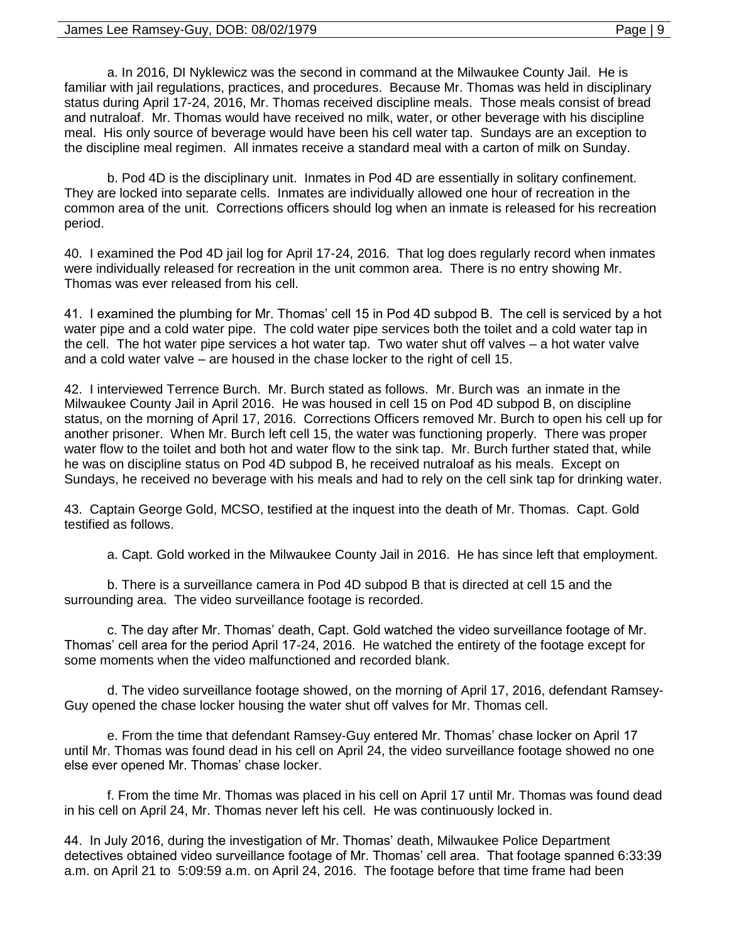#### James Lee Ramsey-Guy, DOB: 08/02/1979 Page | 9

a. In 2016, DI Nyklewicz was the second in command at the Milwaukee County Jail. He is familiar with jail regulations, practices, and procedures. Because Mr. Thomas was held in disciplinary status during April 17-24, 2016, Mr. Thomas received discipline meals. Those meals consist of bread and nutraloaf. Mr. Thomas would have received no milk, water, or other beverage with his discipline meal. His only source of beverage would have been his cell water tap. Sundays are an exception to the discipline meal regimen. All inmates receive a standard meal with a carton of milk on Sunday.

b. Pod 4D is the disciplinary unit. Inmates in Pod 4D are essentially in solitary confinement. They are locked into separate cells. Inmates are individually allowed one hour of recreation in the common area of the unit. Corrections officers should log when an inmate is released for his recreation period.

40. I examined the Pod 4D jail log for April 17-24, 2016. That log does regularly record when inmates were individually released for recreation in the unit common area. There is no entry showing Mr. Thomas was ever released from his cell.

41. I examined the plumbing for Mr. Thomas' cell 15 in Pod 4D subpod B. The cell is serviced by a hot water pipe and a cold water pipe. The cold water pipe services both the toilet and a cold water tap in the cell. The hot water pipe services a hot water tap. Two water shut off valves – a hot water valve and a cold water valve – are housed in the chase locker to the right of cell 15.

42. I interviewed Terrence Burch. Mr. Burch stated as follows. Mr. Burch was an inmate in the Milwaukee County Jail in April 2016. He was housed in cell 15 on Pod 4D subpod B, on discipline status, on the morning of April 17, 2016. Corrections Officers removed Mr. Burch to open his cell up for another prisoner. When Mr. Burch left cell 15, the water was functioning properly. There was proper water flow to the toilet and both hot and water flow to the sink tap. Mr. Burch further stated that, while he was on discipline status on Pod 4D subpod B, he received nutraloaf as his meals. Except on Sundays, he received no beverage with his meals and had to rely on the cell sink tap for drinking water.

43. Captain George Gold, MCSO, testified at the inquest into the death of Mr. Thomas. Capt. Gold testified as follows.

a. Capt. Gold worked in the Milwaukee County Jail in 2016. He has since left that employment.

b. There is a surveillance camera in Pod 4D subpod B that is directed at cell 15 and the surrounding area. The video surveillance footage is recorded.

c. The day after Mr. Thomas' death, Capt. Gold watched the video surveillance footage of Mr. Thomas' cell area for the period April 17-24, 2016. He watched the entirety of the footage except for some moments when the video malfunctioned and recorded blank.

d. The video surveillance footage showed, on the morning of April 17, 2016, defendant Ramsey-Guy opened the chase locker housing the water shut off valves for Mr. Thomas cell.

e. From the time that defendant Ramsey-Guy entered Mr. Thomas' chase locker on April 17 until Mr. Thomas was found dead in his cell on April 24, the video surveillance footage showed no one else ever opened Mr. Thomas' chase locker.

f. From the time Mr. Thomas was placed in his cell on April 17 until Mr. Thomas was found dead in his cell on April 24, Mr. Thomas never left his cell. He was continuously locked in.

44. In July 2016, during the investigation of Mr. Thomas' death, Milwaukee Police Department detectives obtained video surveillance footage of Mr. Thomas' cell area. That footage spanned 6:33:39 a.m. on April 21 to 5:09:59 a.m. on April 24, 2016. The footage before that time frame had been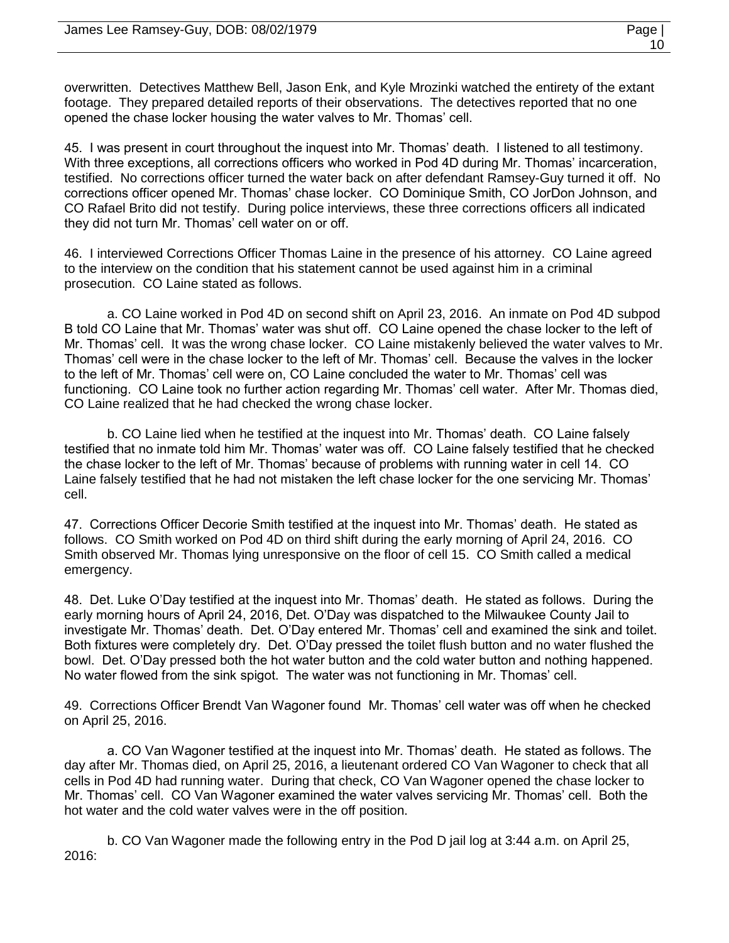overwritten. Detectives Matthew Bell, Jason Enk, and Kyle Mrozinki watched the entirety of the extant footage. They prepared detailed reports of their observations. The detectives reported that no one opened the chase locker housing the water valves to Mr. Thomas' cell.

45. I was present in court throughout the inquest into Mr. Thomas' death. I listened to all testimony. With three exceptions, all corrections officers who worked in Pod 4D during Mr. Thomas' incarceration, testified. No corrections officer turned the water back on after defendant Ramsey-Guy turned it off. No corrections officer opened Mr. Thomas' chase locker. CO Dominique Smith, CO JorDon Johnson, and CO Rafael Brito did not testify. During police interviews, these three corrections officers all indicated they did not turn Mr. Thomas' cell water on or off.

46. I interviewed Corrections Officer Thomas Laine in the presence of his attorney. CO Laine agreed to the interview on the condition that his statement cannot be used against him in a criminal prosecution. CO Laine stated as follows.

a. CO Laine worked in Pod 4D on second shift on April 23, 2016. An inmate on Pod 4D subpod B told CO Laine that Mr. Thomas' water was shut off. CO Laine opened the chase locker to the left of Mr. Thomas' cell. It was the wrong chase locker. CO Laine mistakenly believed the water valves to Mr. Thomas' cell were in the chase locker to the left of Mr. Thomas' cell. Because the valves in the locker to the left of Mr. Thomas' cell were on, CO Laine concluded the water to Mr. Thomas' cell was functioning. CO Laine took no further action regarding Mr. Thomas' cell water. After Mr. Thomas died, CO Laine realized that he had checked the wrong chase locker.

b. CO Laine lied when he testified at the inquest into Mr. Thomas' death. CO Laine falsely testified that no inmate told him Mr. Thomas' water was off. CO Laine falsely testified that he checked the chase locker to the left of Mr. Thomas' because of problems with running water in cell 14. CO Laine falsely testified that he had not mistaken the left chase locker for the one servicing Mr. Thomas' cell.

47. Corrections Officer Decorie Smith testified at the inquest into Mr. Thomas' death. He stated as follows. CO Smith worked on Pod 4D on third shift during the early morning of April 24, 2016. CO Smith observed Mr. Thomas lying unresponsive on the floor of cell 15. CO Smith called a medical emergency.

48. Det. Luke O'Day testified at the inquest into Mr. Thomas' death. He stated as follows. During the early morning hours of April 24, 2016, Det. O'Day was dispatched to the Milwaukee County Jail to investigate Mr. Thomas' death. Det. O'Day entered Mr. Thomas' cell and examined the sink and toilet. Both fixtures were completely dry. Det. O'Day pressed the toilet flush button and no water flushed the bowl. Det. O'Day pressed both the hot water button and the cold water button and nothing happened. No water flowed from the sink spigot. The water was not functioning in Mr. Thomas' cell.

49. Corrections Officer Brendt Van Wagoner found Mr. Thomas' cell water was off when he checked on April 25, 2016.

a. CO Van Wagoner testified at the inquest into Mr. Thomas' death. He stated as follows. The day after Mr. Thomas died, on April 25, 2016, a lieutenant ordered CO Van Wagoner to check that all cells in Pod 4D had running water. During that check, CO Van Wagoner opened the chase locker to Mr. Thomas' cell. CO Van Wagoner examined the water valves servicing Mr. Thomas' cell. Both the hot water and the cold water valves were in the off position.

b. CO Van Wagoner made the following entry in the Pod D jail log at 3:44 a.m. on April 25, 2016: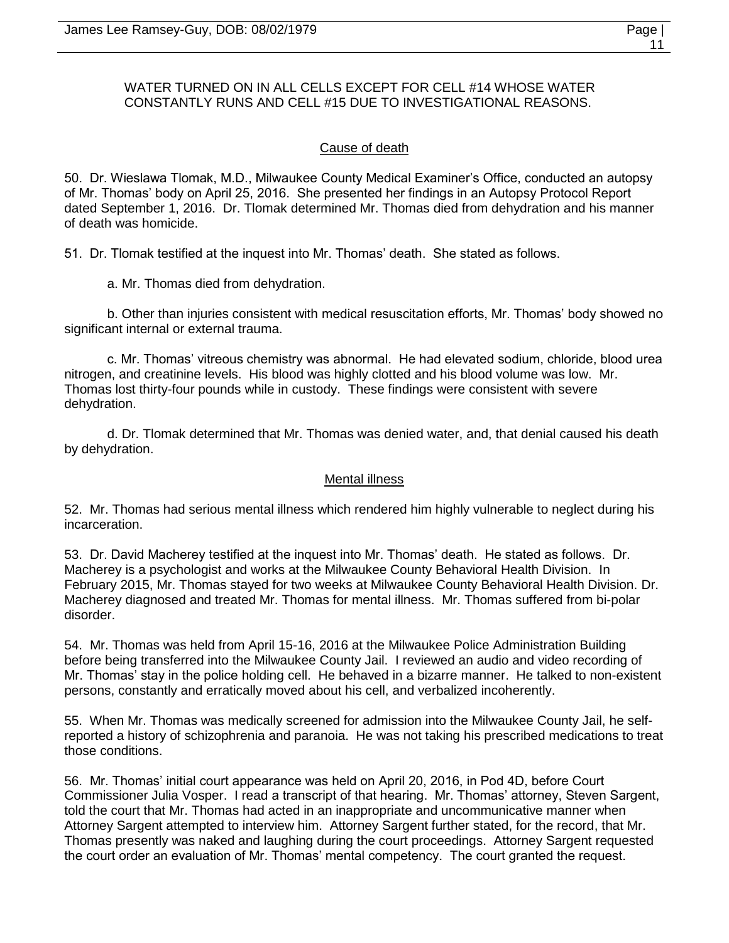# WATER TURNED ON IN ALL CELLS EXCEPT FOR CELL #14 WHOSE WATER CONSTANTLY RUNS AND CELL #15 DUE TO INVESTIGATIONAL REASONS.

## Cause of death

50. Dr. Wieslawa Tlomak, M.D., Milwaukee County Medical Examiner's Office, conducted an autopsy of Mr. Thomas' body on April 25, 2016. She presented her findings in an Autopsy Protocol Report dated September 1, 2016. Dr. Tlomak determined Mr. Thomas died from dehydration and his manner of death was homicide.

51. Dr. Tlomak testified at the inquest into Mr. Thomas' death. She stated as follows.

a. Mr. Thomas died from dehydration.

b. Other than injuries consistent with medical resuscitation efforts, Mr. Thomas' body showed no significant internal or external trauma.

c. Mr. Thomas' vitreous chemistry was abnormal. He had elevated sodium, chloride, blood urea nitrogen, and creatinine levels. His blood was highly clotted and his blood volume was low. Mr. Thomas lost thirty-four pounds while in custody. These findings were consistent with severe dehydration.

d. Dr. Tlomak determined that Mr. Thomas was denied water, and, that denial caused his death by dehydration.

## Mental illness

52. Mr. Thomas had serious mental illness which rendered him highly vulnerable to neglect during his incarceration.

53. Dr. David Macherey testified at the inquest into Mr. Thomas' death. He stated as follows. Dr. Macherey is a psychologist and works at the Milwaukee County Behavioral Health Division. In February 2015, Mr. Thomas stayed for two weeks at Milwaukee County Behavioral Health Division. Dr. Macherey diagnosed and treated Mr. Thomas for mental illness. Mr. Thomas suffered from bi-polar disorder.

54. Mr. Thomas was held from April 15-16, 2016 at the Milwaukee Police Administration Building before being transferred into the Milwaukee County Jail. I reviewed an audio and video recording of Mr. Thomas' stay in the police holding cell. He behaved in a bizarre manner. He talked to non-existent persons, constantly and erratically moved about his cell, and verbalized incoherently.

55. When Mr. Thomas was medically screened for admission into the Milwaukee County Jail, he selfreported a history of schizophrenia and paranoia. He was not taking his prescribed medications to treat those conditions.

56. Mr. Thomas' initial court appearance was held on April 20, 2016, in Pod 4D, before Court Commissioner Julia Vosper. I read a transcript of that hearing. Mr. Thomas' attorney, Steven Sargent, told the court that Mr. Thomas had acted in an inappropriate and uncommunicative manner when Attorney Sargent attempted to interview him. Attorney Sargent further stated, for the record, that Mr. Thomas presently was naked and laughing during the court proceedings. Attorney Sargent requested the court order an evaluation of Mr. Thomas' mental competency. The court granted the request.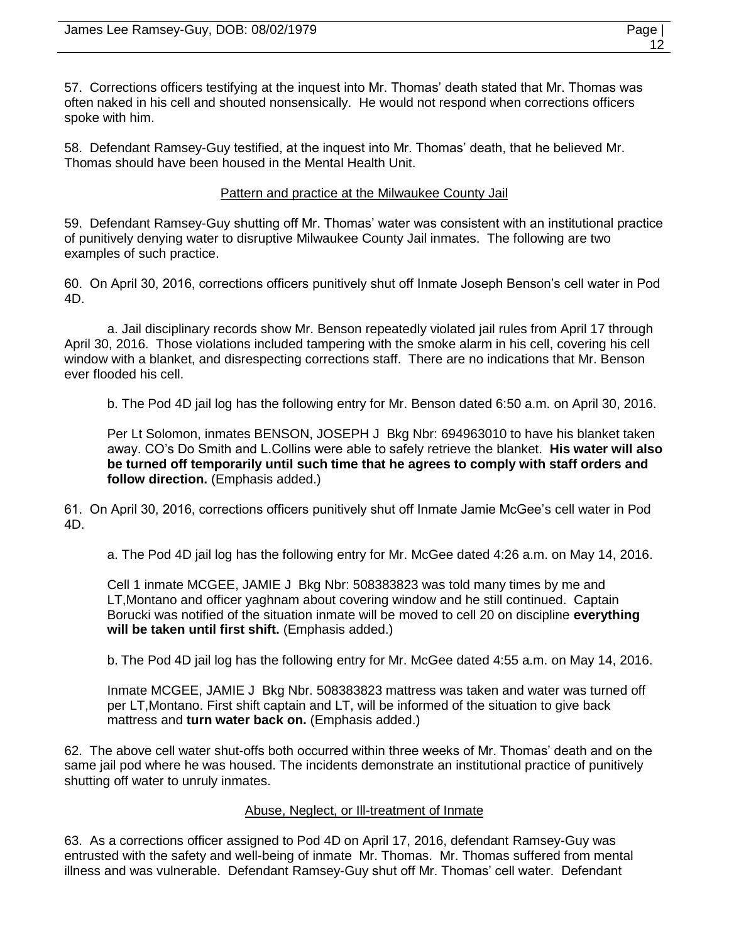57. Corrections officers testifying at the inquest into Mr. Thomas' death stated that Mr. Thomas was often naked in his cell and shouted nonsensically. He would not respond when corrections officers spoke with him.

58. Defendant Ramsey-Guy testified, at the inquest into Mr. Thomas' death, that he believed Mr. Thomas should have been housed in the Mental Health Unit.

## Pattern and practice at the Milwaukee County Jail

59. Defendant Ramsey-Guy shutting off Mr. Thomas' water was consistent with an institutional practice of punitively denying water to disruptive Milwaukee County Jail inmates. The following are two examples of such practice.

60. On April 30, 2016, corrections officers punitively shut off Inmate Joseph Benson's cell water in Pod 4D.

a. Jail disciplinary records show Mr. Benson repeatedly violated jail rules from April 17 through April 30, 2016. Those violations included tampering with the smoke alarm in his cell, covering his cell window with a blanket, and disrespecting corrections staff. There are no indications that Mr. Benson ever flooded his cell.

b. The Pod 4D jail log has the following entry for Mr. Benson dated 6:50 a.m. on April 30, 2016.

Per Lt Solomon, inmates BENSON, JOSEPH J Bkg Nbr: 694963010 to have his blanket taken away. CO's Do Smith and L.Collins were able to safely retrieve the blanket. **His water will also be turned off temporarily until such time that he agrees to comply with staff orders and follow direction.** (Emphasis added.)

61. On April 30, 2016, corrections officers punitively shut off Inmate Jamie McGee's cell water in Pod 4D.

a. The Pod 4D jail log has the following entry for Mr. McGee dated 4:26 a.m. on May 14, 2016.

Cell 1 inmate MCGEE, JAMIE J Bkg Nbr: 508383823 was told many times by me and LT,Montano and officer yaghnam about covering window and he still continued. Captain Borucki was notified of the situation inmate will be moved to cell 20 on discipline **everything will be taken until first shift.** (Emphasis added.)

b. The Pod 4D jail log has the following entry for Mr. McGee dated 4:55 a.m. on May 14, 2016.

Inmate MCGEE, JAMIE J Bkg Nbr. 508383823 mattress was taken and water was turned off per LT,Montano. First shift captain and LT, will be informed of the situation to give back mattress and **turn water back on.** (Emphasis added.)

62. The above cell water shut-offs both occurred within three weeks of Mr. Thomas' death and on the same jail pod where he was housed. The incidents demonstrate an institutional practice of punitively shutting off water to unruly inmates.

## Abuse, Neglect, or Ill-treatment of Inmate

63. As a corrections officer assigned to Pod 4D on April 17, 2016, defendant Ramsey-Guy was entrusted with the safety and well-being of inmate Mr. Thomas. Mr. Thomas suffered from mental illness and was vulnerable. Defendant Ramsey-Guy shut off Mr. Thomas' cell water. Defendant